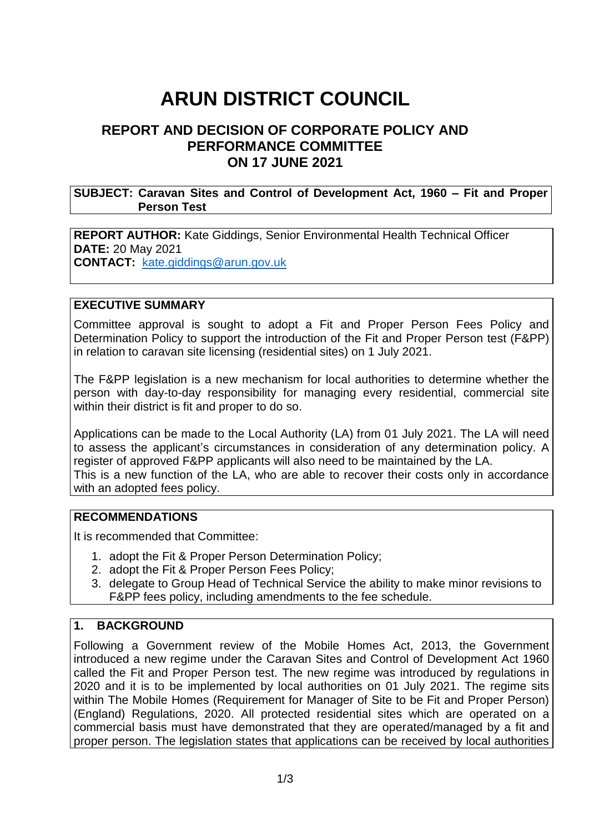# **ARUN DISTRICT COUNCIL**

# **REPORT AND DECISION OF CORPORATE POLICY AND PERFORMANCE COMMITTEE ON 17 JUNE 2021**

#### **SUBJECT: Caravan Sites and Control of Development Act, 1960 – Fit and Proper Person Test**

#### **REPORT AUTHOR:** Kate Giddings, Senior Environmental Health Technical Officer **DATE:** 20 May 2021 **CONTACT:** [kate.giddings@arun.gov.uk](mailto:kate.giddings@arun.gov.uk)

#### **EXECUTIVE SUMMARY**

Committee approval is sought to adopt a Fit and Proper Person Fees Policy and Determination Policy to support the introduction of the Fit and Proper Person test (F&PP) in relation to caravan site licensing (residential sites) on 1 July 2021.

The F&PP legislation is a new mechanism for local authorities to determine whether the person with day-to-day responsibility for managing every residential, commercial site within their district is fit and proper to do so.

Applications can be made to the Local Authority (LA) from 01 July 2021. The LA will need to assess the applicant's circumstances in consideration of any determination policy. A register of approved F&PP applicants will also need to be maintained by the LA. This is a new function of the LA, who are able to recover their costs only in accordance with an adopted fees policy.

#### **RECOMMENDATIONS**

It is recommended that Committee:

- 1. adopt the Fit & Proper Person Determination Policy;
- 2. adopt the Fit & Proper Person Fees Policy;
- 3. delegate to Group Head of Technical Service the ability to make minor revisions to F&PP fees policy, including amendments to the fee schedule.

#### **1. BACKGROUND**

Following a Government review of the Mobile Homes Act, 2013, the Government introduced a new regime under the Caravan Sites and Control of Development Act 1960 called the Fit and Proper Person test. The new regime was introduced by regulations in 2020 and it is to be implemented by local authorities on 01 July 2021. The regime sits within The Mobile Homes (Requirement for Manager of Site to be Fit and Proper Person) (England) Regulations, 2020. All protected residential sites which are operated on a commercial basis must have demonstrated that they are operated/managed by a fit and proper person. The legislation states that applications can be received by local authorities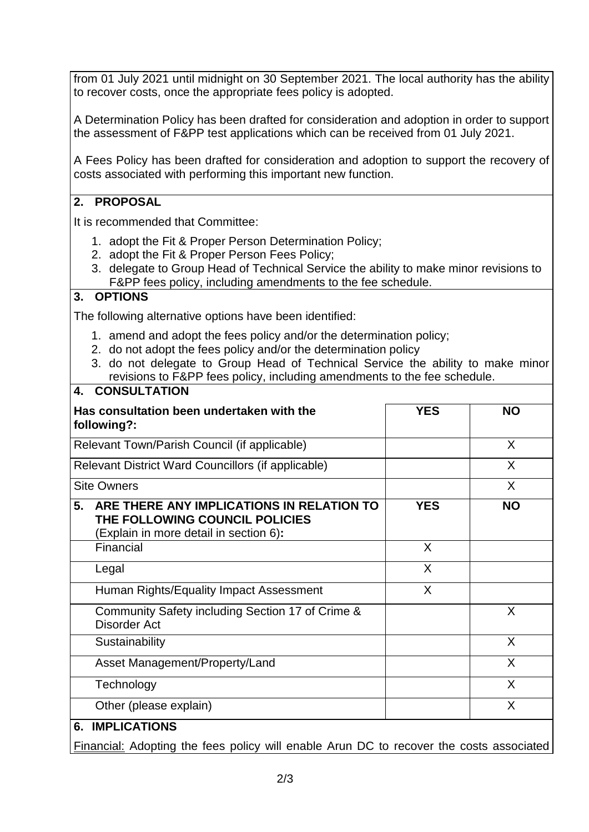from 01 July 2021 until midnight on 30 September 2021. The local authority has the ability to recover costs, once the appropriate fees policy is adopted.

A Determination Policy has been drafted for consideration and adoption in order to support the assessment of F&PP test applications which can be received from 01 July 2021.

A Fees Policy has been drafted for consideration and adoption to support the recovery of costs associated with performing this important new function.

## **2. PROPOSAL**

It is recommended that Committee:

- 1. adopt the Fit & Proper Person Determination Policy;
- 2. adopt the Fit & Proper Person Fees Policy;
- 3. delegate to Group Head of Technical Service the ability to make minor revisions to F&PP fees policy, including amendments to the fee schedule.

## **3. OPTIONS**

The following alternative options have been identified:

- 1. amend and adopt the fees policy and/or the determination policy;
- 2. do not adopt the fees policy and/or the determination policy
- 3. do not delegate to Group Head of Technical Service the ability to make minor revisions to F&PP fees policy, including amendments to the fee schedule.

| Has consultation been undertaken with the<br>following?:                                                                    | <b>YES</b> | <b>NO</b> |
|-----------------------------------------------------------------------------------------------------------------------------|------------|-----------|
| Relevant Town/Parish Council (if applicable)                                                                                |            | X         |
| Relevant District Ward Councillors (if applicable)                                                                          |            | X         |
| <b>Site Owners</b>                                                                                                          |            | X         |
| ARE THERE ANY IMPLICATIONS IN RELATION TO<br>5.<br>THE FOLLOWING COUNCIL POLICIES<br>(Explain in more detail in section 6): | <b>YES</b> | <b>NO</b> |
| Financial                                                                                                                   | X          |           |
| Legal                                                                                                                       | $\sf X$    |           |
| Human Rights/Equality Impact Assessment                                                                                     | X          |           |
| Community Safety including Section 17 of Crime &<br><b>Disorder Act</b>                                                     |            | X         |
| Sustainability                                                                                                              |            | X         |
| Asset Management/Property/Land                                                                                              |            | X         |
| Technology                                                                                                                  |            | X         |
| Other (please explain)                                                                                                      |            | X         |

Financial: Adopting the fees policy will enable Arun DC to recover the costs associated